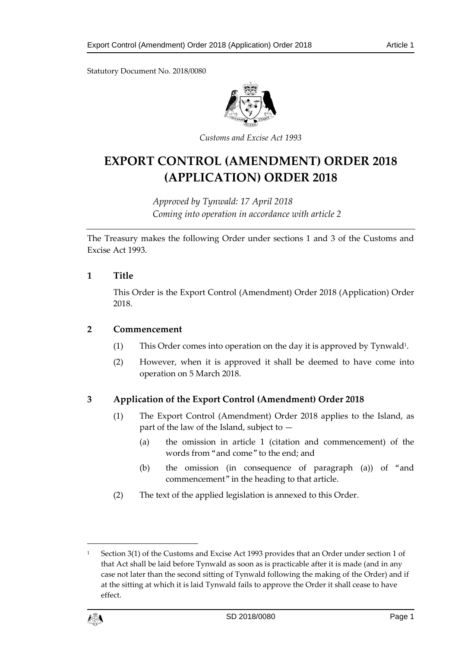Statutory Document No. 2018/0080



*Customs and Excise Act 1993*

# **EXPORT CONTROL (AMENDMENT) ORDER 2018 (APPLICATION) ORDER 2018**

*Approved by Tynwald: 17 April 2018 Coming into operation in accordance with article 2*

The Treasury makes the following Order under sections 1 and 3 of the Customs and Excise Act 1993.

## **1 Title**

This Order is the Export Control (Amendment) Order 2018 (Application) Order 2018.

### **2 Commencement**

- (1) This Order comes into operation on the day it is approved by Tynwald<sup>1</sup> .
- (2) However, when it is approved it shall be deemed to have come into operation on 5 March 2018.

## **3 Application of the Export Control (Amendment) Order 2018**

- (1) The Export Control (Amendment) Order 2018 applies to the Island, as part of the law of the Island, subject to —
	- (a) the omission in article 1 (citation and commencement) of the words from "and come" to the end; and
	- (b) the omission (in consequence of paragraph (a)) of "and commencement" in the heading to that article.
- (2) The text of the applied legislation is annexed to this Order.

Section 3(1) of the Customs and Excise Act 1993 provides that an Order under section 1 of that Act shall be laid before Tynwald as soon as is practicable after it is made (and in any case not later than the second sitting of Tynwald following the making of the Order) and if at the sitting at which it is laid Tynwald fails to approve the Order it shall cease to have effect.



1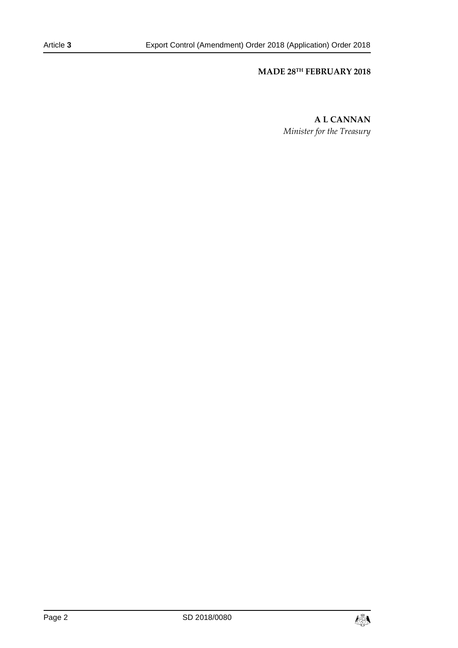# **MADE 28TH FEBRUARY 2018**

**A L CANNAN** *Minister for the Treasury*

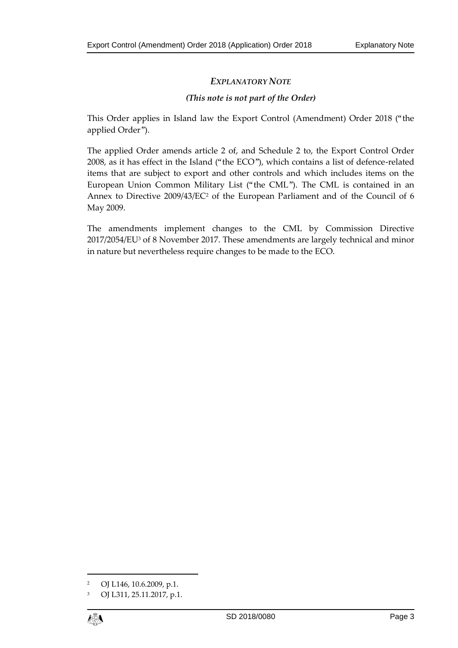## *EXPLANATORY NOTE*

## *(This note is not part of the Order)*

This Order applies in Island law the Export Control (Amendment) Order 2018 ("the applied Order").

The applied Order amends article 2 of, and Schedule 2 to, the Export Control Order 2008, as it has effect in the Island ("the ECO"), which contains a list of defence-related items that are subject to export and other controls and which includes items on the European Union Common Military List ("the CML"). The CML is contained in an Annex to Directive 2009/43/EC<sup>2</sup> of the European Parliament and of the Council of 6 May 2009.

The amendments implement changes to the CML by Commission Directive 2017/2054/EU<sup>3</sup> of 8 November 2017. These amendments are largely technical and minor in nature but nevertheless require changes to be made to the ECO.

<sup>3</sup> OJ L311, 25.11.2017, p.1.



 $\overline{a}$ 

<sup>2</sup> OJ L146, 10.6.2009, p.1.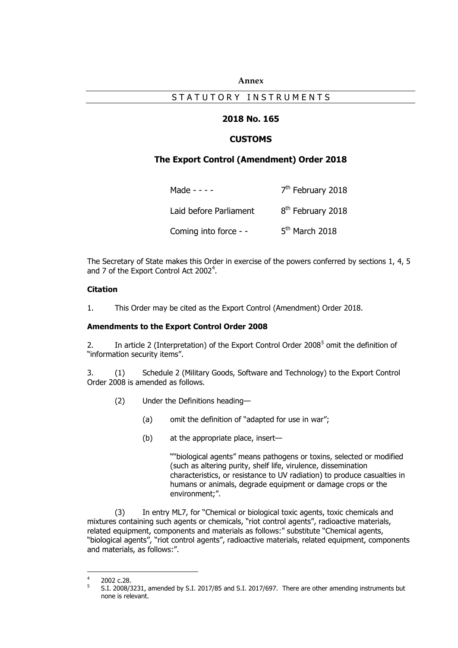#### **Annex**

### STATUTORY INSTRUMENTS

### **2018 No. 165**

#### **CUSTOMS**

#### **The Export Control (Amendment) Order 2018**

| Made - - - -           | 7 <sup>th</sup> February 2018 |
|------------------------|-------------------------------|
| Laid before Parliament | 8 <sup>th</sup> February 2018 |
| Coming into force - -  | $5th$ March 2018              |

The Secretary of State makes this Order in exercise of the powers conferred by sections 1, 4, 5 and 7 of the Export Control Act 2002<sup>4</sup>.

#### **Citation**

1. This Order may be cited as the Export Control (Amendment) Order 2018.

#### **Amendments to the Export Control Order 2008**

2. In article 2 (Interpretation) of the Export Control Order 2008<sup>5</sup> omit the definition of "information security items".

3. (1) Schedule 2 (Military Goods, Software and Technology) to the Export Control Order 2008 is amended as follows.

- (2) Under the Definitions heading—
	- (a) omit the definition of "adapted for use in war";
	- (b) at the appropriate place, insert—

""biological agents" means pathogens or toxins, selected or modified (such as altering purity, shelf life, virulence, dissemination characteristics, or resistance to UV radiation) to produce casualties in humans or animals, degrade equipment or damage crops or the environment;".

(3) In entry ML7, for "Chemical or biological toxic agents, toxic chemicals and mixtures containing such agents or chemicals, "riot control agents", radioactive materials, related equipment, components and materials as follows:" substitute "Chemical agents, "biological agents", "riot control agents", radioactive materials, related equipment, components and materials, as follows:".

 $\frac{1}{4}$ 2002 c.28.

<sup>5</sup> S.I. 2008/3231, amended by S.I. 2017/85 and S.I. 2017/697. There are other amending instruments but none is relevant.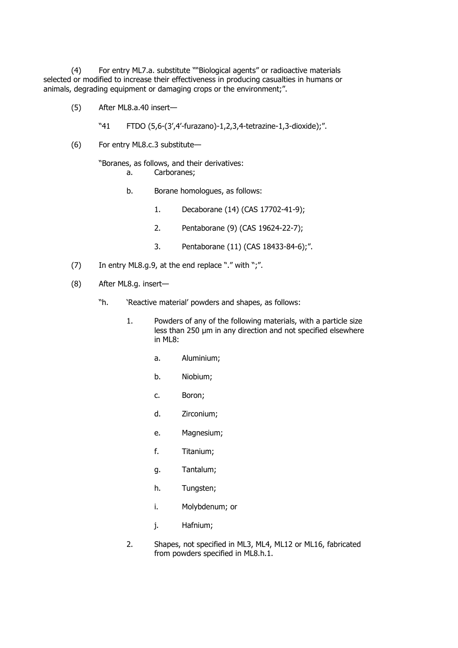(4) For entry ML7.a. substitute ""Biological agents" or radioactive materials selected or modified to increase their effectiveness in producing casualties in humans or animals, degrading equipment or damaging crops or the environment;".

- (5) After ML8.a.40 insert—
	- "41 FTDO (5,6-(3',4'-furazano)-1,2,3,4-tetrazine-1,3-dioxide);".
- (6) For entry ML8.c.3 substitute—

"Boranes, as follows, and their derivatives:

- a. Carboranes;
- b. Borane homologues, as follows:
	- 1. Decaborane (14) (CAS 17702-41-9);
	- 2. Pentaborane (9) (CAS 19624-22-7);
	- 3. Pentaborane (11) (CAS 18433-84-6);".
- (7) In entry ML8.g.9, at the end replace "." with ";".
- (8) After ML8.g. insert—
	- "h. 'Reactive material' powders and shapes, as follows:
		- 1. Powders of any of the following materials, with a particle size less than 250 μm in any direction and not specified elsewhere in ML8:
			- a. Aluminium;
			- b. Niobium;
			- c. Boron;
			- d. Zirconium;
			- e. Magnesium;
			- f. Titanium;
			- g. Tantalum;
			- h. Tungsten;
			- i. Molybdenum; or
			- j. Hafnium;
		- 2. Shapes, not specified in ML3, ML4, ML12 or ML16, fabricated from powders specified in ML8.h.1.